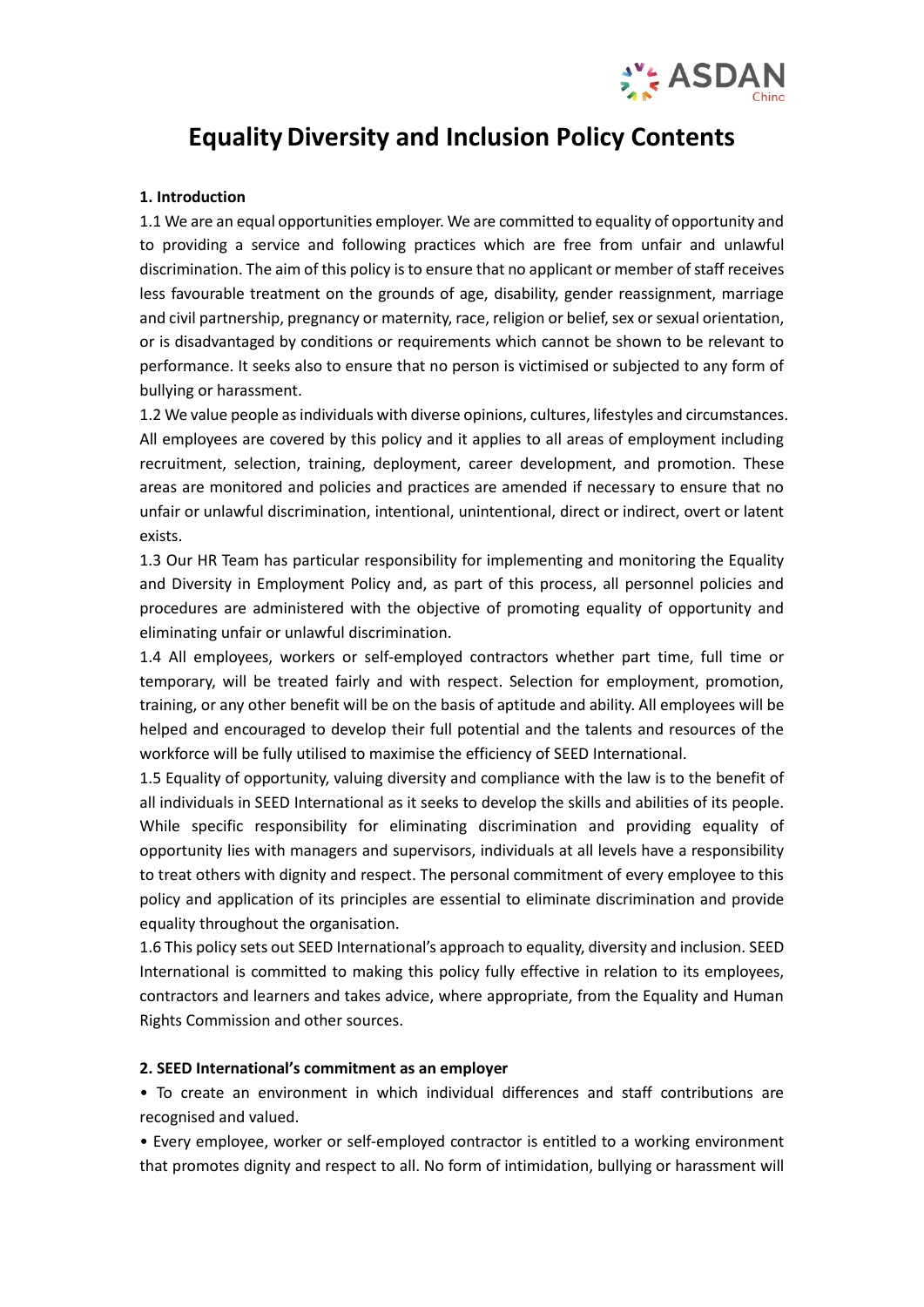

# **Equality Diversity and Inclusion Policy Contents**

### **1. Introduction**

1.1 We are an equal opportunities employer. We are committed to equality of opportunity and to providing a service and following practices which are free from unfair and unlawful discrimination. The aim of this policy is to ensure that no applicant or member of staff receives less favourable treatment on the grounds of age, disability, gender reassignment, marriage and civil partnership, pregnancy or maternity, race, religion or belief, sex or sexual orientation, or is disadvantaged by conditions or requirements which cannot be shown to be relevant to performance. It seeks also to ensure that no person is victimised or subjected to any form of bullying or harassment.

1.2 We value people as individuals with diverse opinions, cultures, lifestyles and circumstances. All employees are covered by this policy and it applies to all areas of employment including recruitment, selection, training, deployment, career development, and promotion. These areas are monitored and policies and practices are amended if necessary to ensure that no unfair or unlawful discrimination, intentional, unintentional, direct or indirect, overt or latent exists.

1.3 Our HR Team has particular responsibility for implementing and monitoring the Equality and Diversity in Employment Policy and, as part of this process, all personnel policies and procedures are administered with the objective of promoting equality of opportunity and eliminating unfair or unlawful discrimination.

1.4 All employees, workers or self-employed contractors whether part time, full time or temporary, will be treated fairly and with respect. Selection for employment, promotion, training, or any other benefit will be on the basis of aptitude and ability. All employees will be helped and encouraged to develop their full potential and the talents and resources of the workforce will be fully utilised to maximise the efficiency of SEED International.

1.5 Equality of opportunity, valuing diversity and compliance with the law is to the benefit of all individuals in SEED International as it seeks to develop the skills and abilities of its people. While specific responsibility for eliminating discrimination and providing equality of opportunity lies with managers and supervisors, individuals at all levels have a responsibility to treat others with dignity and respect. The personal commitment of every employee to this policy and application of its principles are essential to eliminate discrimination and provide equality throughout the organisation.

1.6 This policy sets out SEED International's approach to equality, diversity and inclusion. SEED International is committed to making this policy fully effective in relation to its employees, contractors and learners and takes advice, where appropriate, from the Equality and Human Rights Commission and other sources.

#### **2. SEED International's commitment as an employer**

• To create an environment in which individual differences and staff contributions are recognised and valued.

• Every employee, worker or self-employed contractor is entitled to a working environment that promotes dignity and respect to all. No form of intimidation, bullying or harassment will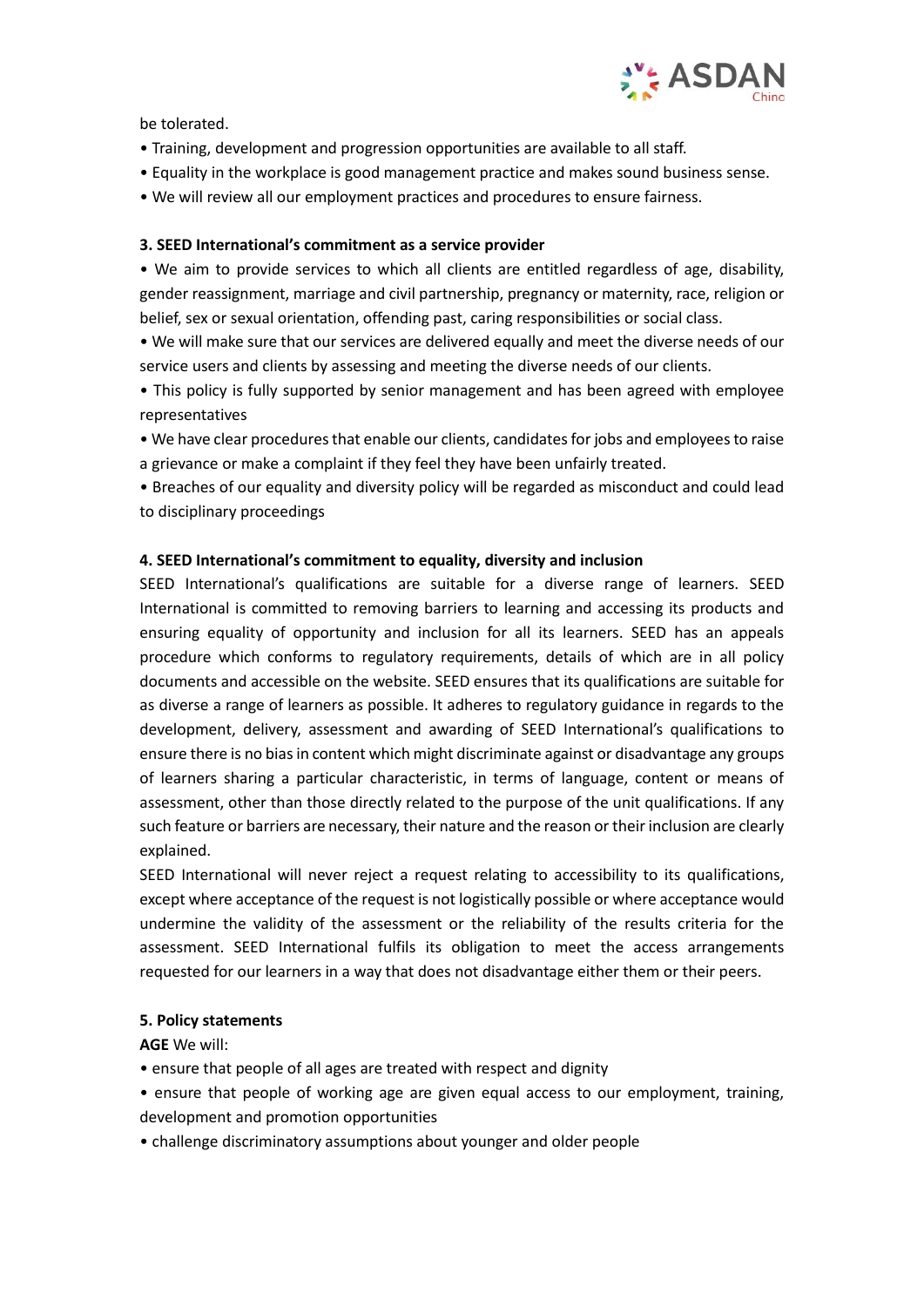

be tolerated.

- Training, development and progression opportunities are available to all staff.
- Equality in the workplace is good management practice and makes sound business sense.
- We will review all our employment practices and procedures to ensure fairness.

### **3. SEED International's commitment as a service provider**

• We aim to provide services to which all clients are entitled regardless of age, disability, gender reassignment, marriage and civil partnership, pregnancy or maternity, race, religion or belief, sex or sexual orientation, offending past, caring responsibilities or social class.

• We will make sure that our services are delivered equally and meet the diverse needs of our service users and clients by assessing and meeting the diverse needs of our clients.

• This policy is fully supported by senior management and has been agreed with employee representatives

• We have clear procedures that enable our clients, candidates for jobs and employees to raise a grievance or make a complaint if they feel they have been unfairly treated.

• Breaches of our equality and diversity policy will be regarded as misconduct and could lead to disciplinary proceedings

## **4. SEED International's commitment to equality, diversity and inclusion**

SEED International's qualifications are suitable for a diverse range of learners. SEED International is committed to removing barriers to learning and accessing its products and ensuring equality of opportunity and inclusion for all its learners. SEED has an appeals procedure which conforms to regulatory requirements, details of which are in all policy documents and accessible on the website. SEED ensures that its qualifications are suitable for as diverse a range of learners as possible. It adheres to regulatory guidance in regards to the development, delivery, assessment and awarding of SEED International's qualifications to ensure there is no bias in content which might discriminate against or disadvantage any groups of learners sharing a particular characteristic, in terms of language, content or means of assessment, other than those directly related to the purpose of the unit qualifications. If any such feature or barriers are necessary, their nature and the reason or their inclusion are clearly explained.

SEED International will never reject a request relating to accessibility to its qualifications, except where acceptance of the request is not logistically possible or where acceptance would undermine the validity of the assessment or the reliability of the results criteria for the assessment. SEED International fulfils its obligation to meet the access arrangements requested for our learners in a way that does not disadvantage either them or their peers.

#### **5. Policy statements**

**AGE** We will:

- ensure that people of all ages are treated with respect and dignity
- ensure that people of working age are given equal access to our employment, training, development and promotion opportunities
- challenge discriminatory assumptions about younger and older people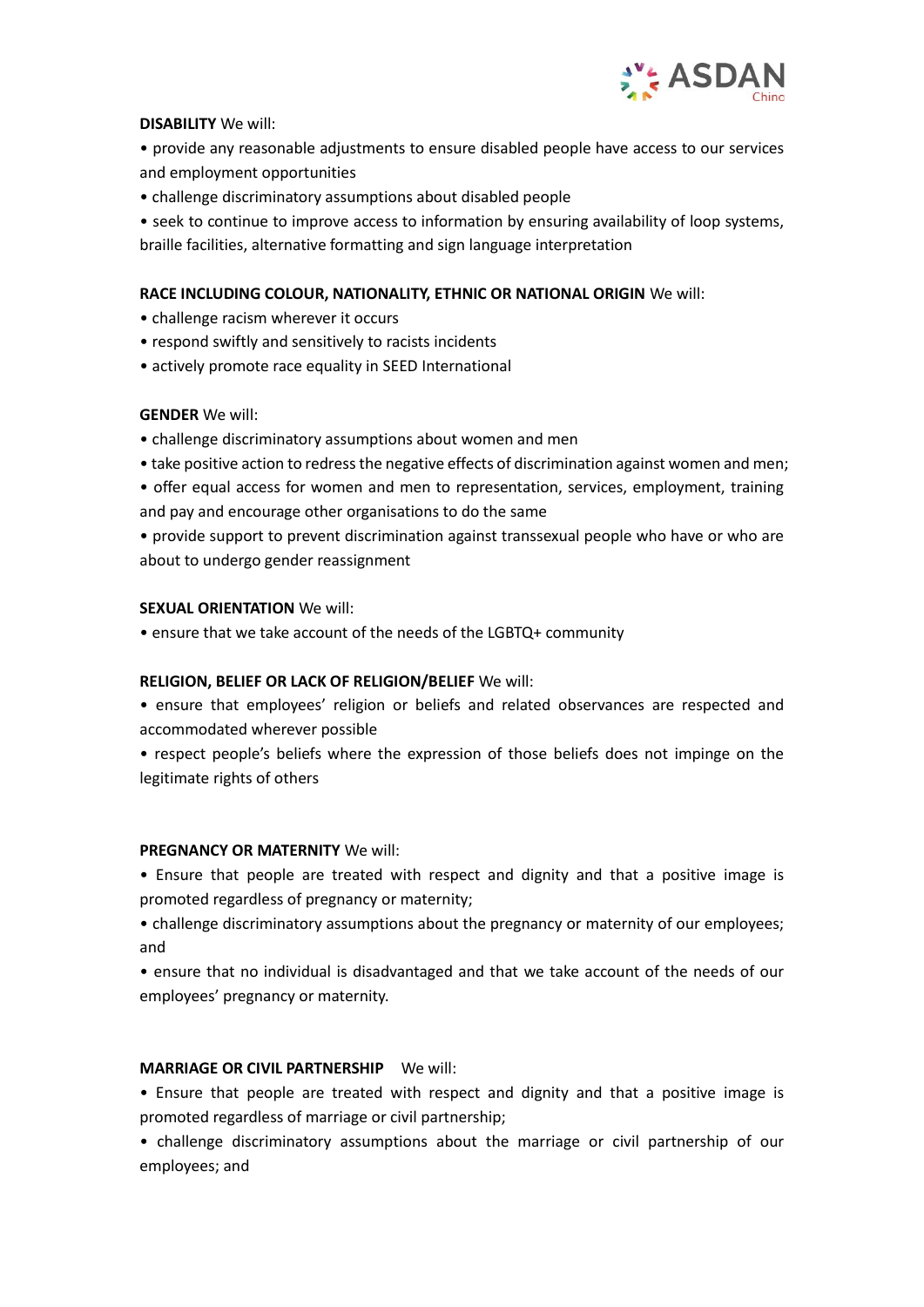

## **DISABILITY** We will:

• provide any reasonable adjustments to ensure disabled people have access to our services and employment opportunities

• challenge discriminatory assumptions about disabled people

• seek to continue to improve access to information by ensuring availability of loop systems, braille facilities, alternative formatting and sign language interpretation

# **RACE INCLUDING COLOUR, NATIONALITY, ETHNIC OR NATIONAL ORIGIN** We will:

- challenge racism wherever it occurs
- respond swiftly and sensitively to racists incidents
- actively promote race equality in SEED International

## **GENDER** We will:

- challenge discriminatory assumptions about women and men
- take positive action to redress the negative effects of discrimination against women and men;
- offer equal access for women and men to representation, services, employment, training and pay and encourage other organisations to do the same
- provide support to prevent discrimination against transsexual people who have or who are about to undergo gender reassignment

## **SEXUAL ORIENTATION** We will:

• ensure that we take account of the needs of the LGBTQ+ community

## **RELIGION, BELIEF OR LACK OF RELIGION/BELIEF** We will:

- ensure that employees' religion or beliefs and related observances are respected and accommodated wherever possible
- respect people's beliefs where the expression of those beliefs does not impinge on the legitimate rights of others

## **PREGNANCY OR MATERNITY** We will:

• Ensure that people are treated with respect and dignity and that a positive image is promoted regardless of pregnancy or maternity;

• challenge discriminatory assumptions about the pregnancy or maternity of our employees; and

• ensure that no individual is disadvantaged and that we take account of the needs of our employees' pregnancy or maternity.

## **MARRIAGE OR CIVIL PARTNERSHIP** We will:

• Ensure that people are treated with respect and dignity and that a positive image is promoted regardless of marriage or civil partnership;

• challenge discriminatory assumptions about the marriage or civil partnership of our employees; and